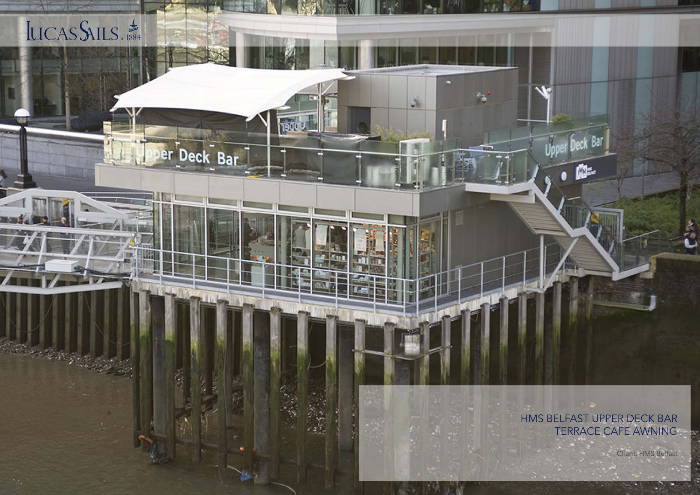

HMS BELFAST UPPER DECK BAR TERRACE CAFE AWNING

w

**IJope** 

**Deck Bar** 

Ŵ.

Client: HMS Belfast